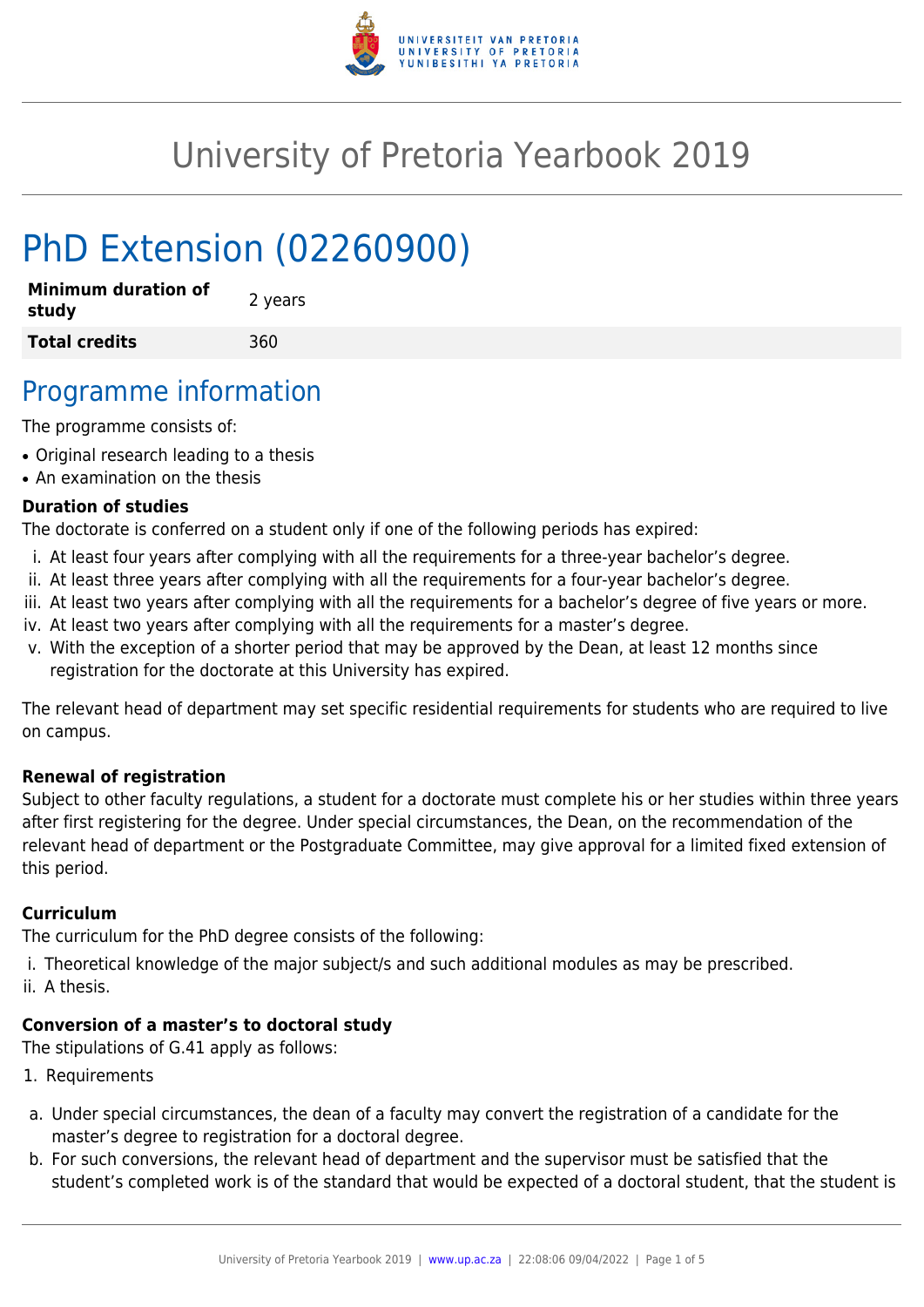

# University of Pretoria Yearbook 2019

# PhD Extension (02260900)

| <b>Minimum duration of</b><br>study | 2 years |
|-------------------------------------|---------|
| <b>Total credits</b>                | 360     |

## Programme information

The programme consists of:

- Original research leading to a thesis
- An examination on the thesis

#### **Duration of studies**

The doctorate is conferred on a student only if one of the following periods has expired:

- i. At least four years after complying with all the requirements for a three-year bachelor's degree.
- ii. At least three years after complying with all the requirements for a four-year bachelor's degree.
- iii. At least two years after complying with all the requirements for a bachelor's degree of five years or more.
- iv. At least two years after complying with all the requirements for a master's degree.
- v. With the exception of a shorter period that may be approved by the Dean, at least 12 months since registration for the doctorate at this University has expired.

The relevant head of department may set specific residential requirements for students who are required to live on campus.

#### **Renewal of registration**

Subject to other faculty regulations, a student for a doctorate must complete his or her studies within three years after first registering for the degree. Under special circumstances, the Dean, on the recommendation of the relevant head of department or the Postgraduate Committee, may give approval for a limited fixed extension of this period.

#### **Curriculum**

The curriculum for the PhD degree consists of the following:

- i. Theoretical knowledge of the major subject/s and such additional modules as may be prescribed.
- ii. A thesis.

### **Conversion of a master's to doctoral study**

The stipulations of G.41 apply as follows:

- 1. Requirements
- a. Under special circumstances, the dean of a faculty may convert the registration of a candidate for the master's degree to registration for a doctoral degree.
- b. For such conversions, the relevant head of department and the supervisor must be satisfied that the student's completed work is of the standard that would be expected of a doctoral student, that the student is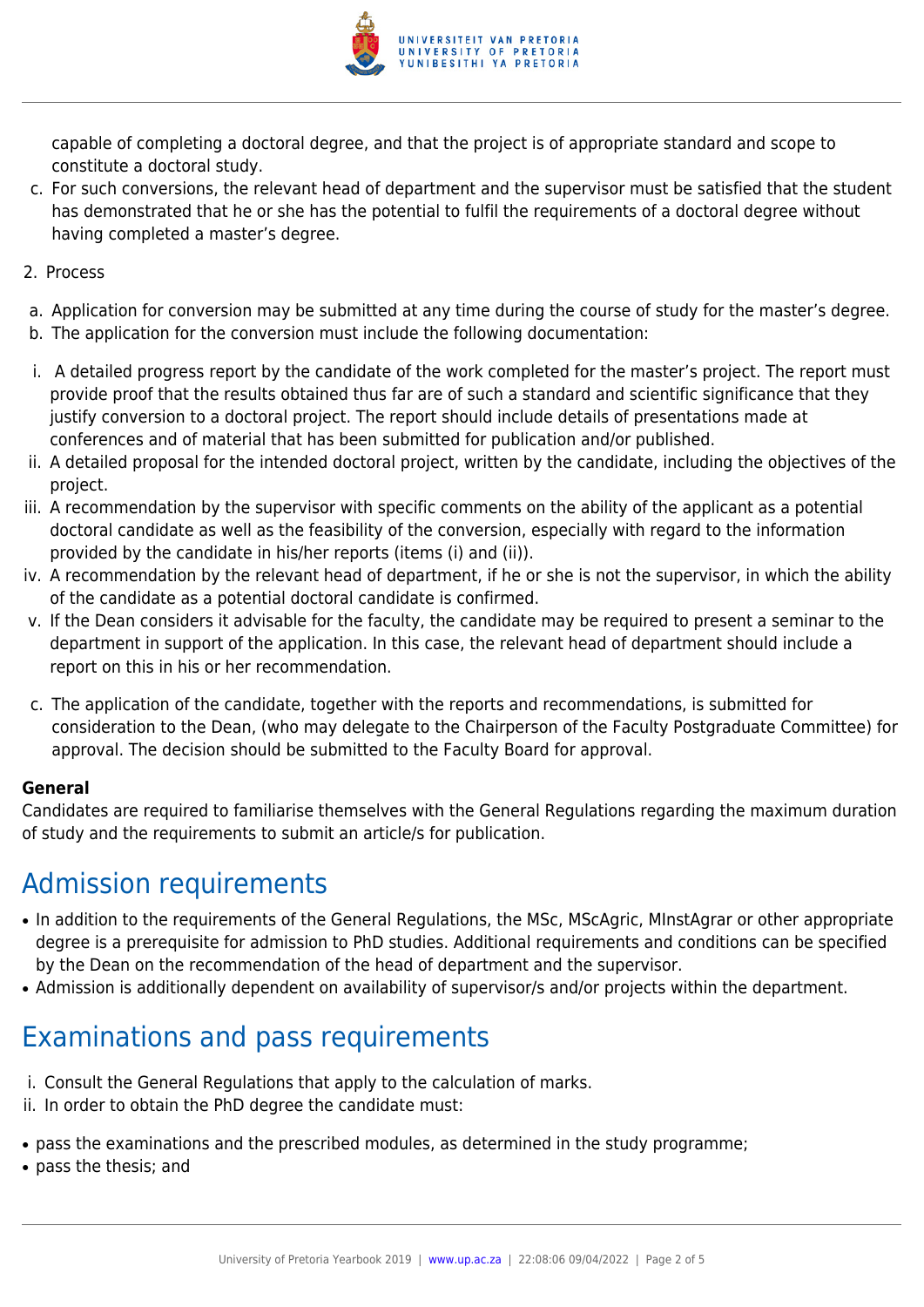

capable of completing a doctoral degree, and that the project is of appropriate standard and scope to constitute a doctoral study.

- c. For such conversions, the relevant head of department and the supervisor must be satisfied that the student has demonstrated that he or she has the potential to fulfil the requirements of a doctoral degree without having completed a master's degree.
- 2. Process
- a. Application for conversion may be submitted at any time during the course of study for the master's degree.
- b. The application for the conversion must include the following documentation:
- i. A detailed progress report by the candidate of the work completed for the master's project. The report must provide proof that the results obtained thus far are of such a standard and scientific significance that they justify conversion to a doctoral project. The report should include details of presentations made at conferences and of material that has been submitted for publication and/or published.
- ii. A detailed proposal for the intended doctoral project, written by the candidate, including the objectives of the project.
- iii. A recommendation by the supervisor with specific comments on the ability of the applicant as a potential doctoral candidate as well as the feasibility of the conversion, especially with regard to the information provided by the candidate in his/her reports (items (i) and (ii)).
- iv. A recommendation by the relevant head of department, if he or she is not the supervisor, in which the ability of the candidate as a potential doctoral candidate is confirmed.
- v. If the Dean considers it advisable for the faculty, the candidate may be required to present a seminar to the department in support of the application. In this case, the relevant head of department should include a report on this in his or her recommendation.
- c. The application of the candidate, together with the reports and recommendations, is submitted for consideration to the Dean, (who may delegate to the Chairperson of the Faculty Postgraduate Committee) for approval. The decision should be submitted to the Faculty Board for approval.

#### **General**

Candidates are required to familiarise themselves with the General Regulations regarding the maximum duration of study and the requirements to submit an article/s for publication.

# Admission requirements

- In addition to the requirements of the General Regulations, the MSc, MScAgric, MInstAgrar or other appropriate degree is a prerequisite for admission to PhD studies. Additional requirements and conditions can be specified by the Dean on the recommendation of the head of department and the supervisor.
- Admission is additionally dependent on availability of supervisor/s and/or projects within the department.

# Examinations and pass requirements

- i. Consult the General Regulations that apply to the calculation of marks.
- ii. In order to obtain the PhD degree the candidate must:
- pass the examinations and the prescribed modules, as determined in the study programme;
- pass the thesis; and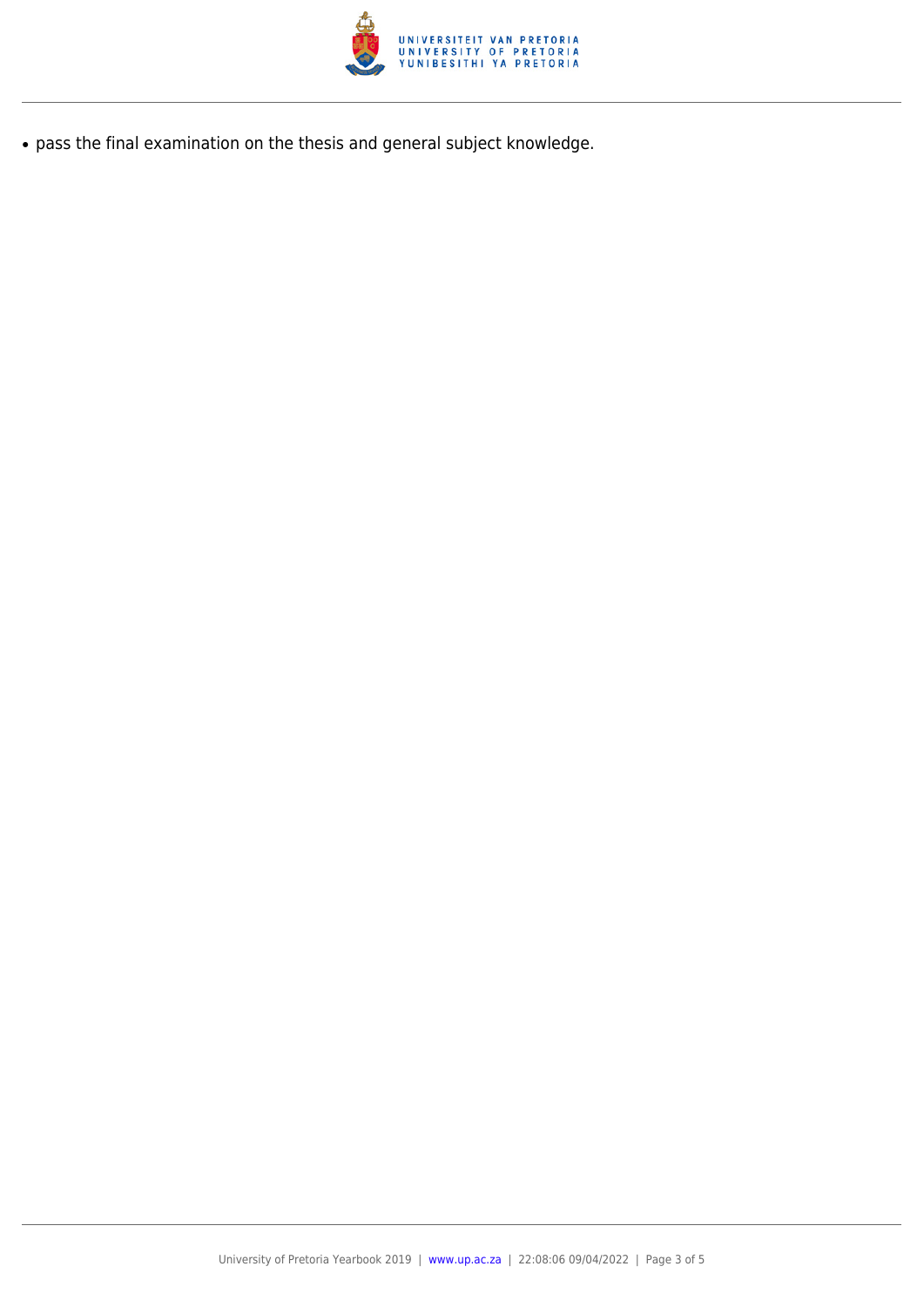

● pass the final examination on the thesis and general subject knowledge.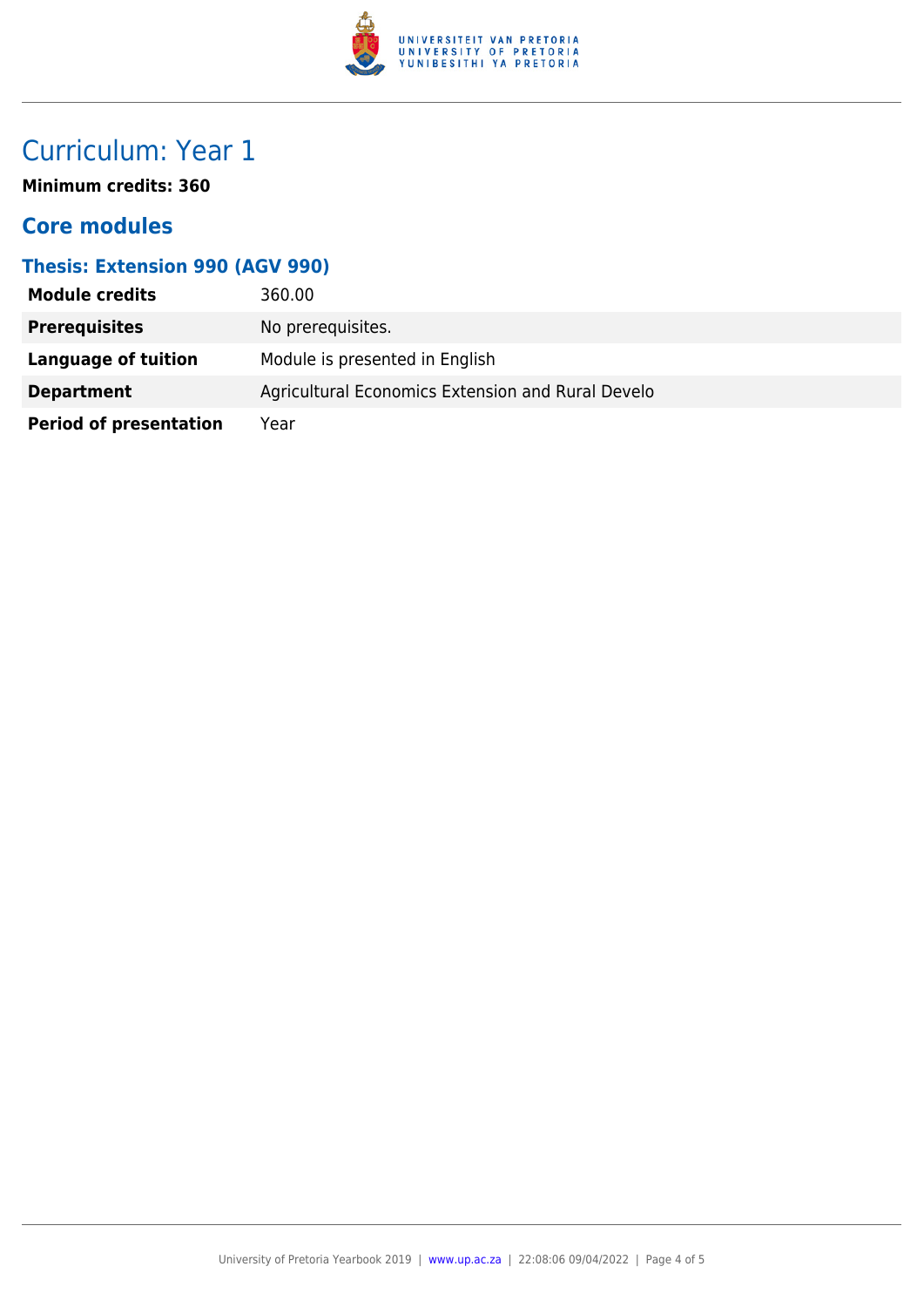

# Curriculum: Year 1

**Minimum credits: 360**

### **Core modules**

### **Thesis: Extension 990 (AGV 990)**

| <b>Module credits</b>         | 360.00                                            |
|-------------------------------|---------------------------------------------------|
| <b>Prerequisites</b>          | No prerequisites.                                 |
| Language of tuition           | Module is presented in English                    |
| <b>Department</b>             | Agricultural Economics Extension and Rural Develo |
| <b>Period of presentation</b> | Year                                              |